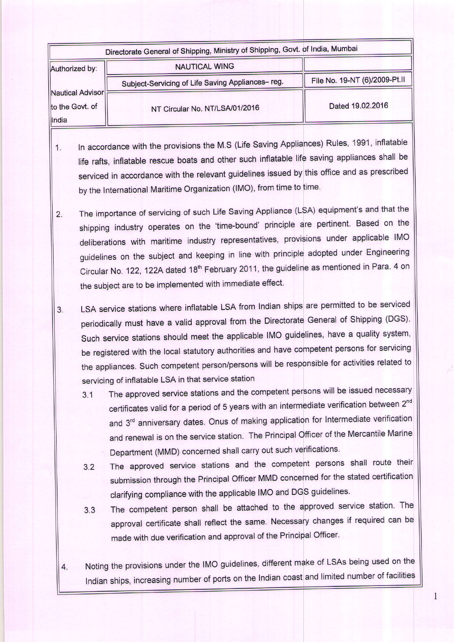|                                              | Directorate General of Shipping, Ministry of Shipping, Govt. of India, Mumbai |                               |
|----------------------------------------------|-------------------------------------------------------------------------------|-------------------------------|
| Authorized by:                               | <b>NAUTICAL WING</b>                                                          |                               |
|                                              | Subject-Servicing of Life Saving Appliances-reg.                              | File No. 19-NT (6)/2009-Pt.II |
| Nautical Advisor<br>to the Govt. of<br>India | NT Circular No. NT/LSA/01/2016                                                | Dated 19.02.2016              |

- 1. In accordance with the provisions the M.S (Life Saving Appliances) Rules, 1991, inflatable life rafts, inflatable rescue boats and other such inflatable life saving appliances shall be serviced in accordance with the relevant guidelines issued by this office and as prescribed by the International Maritime Organization (lMO), from time to
- The importance of servicing of such Life Saving Appliance (LSA) equipment's and that the  $2.$ shipping industry operates on the 'time-bound' principle are pertinent. Based on the deliberations with maritime industry representatives, provisions under applicable IMO guidelines on the subject and keeping in line with principle adopted under Engineering Circular No. 122, 122A dated 18<sup>th</sup> February 2011, the guideline as mentioned in Para. 4 on the subject are to be implemented with immediate effect.
- 3. LSA service stations where inflatable LSA from Indian ships are permitted to be serviced periodically must have a valid approval from the Directorate General of Shipping (DGS) Such service stations should meet the applicable IMO guidelines, have a quality system be registered with the local statutory authorities and have competent persons for servicing the appliances. Such competent person/persons will be responsible for activities related to servicing of inflatable LSA in that service station
	- 3.1 The approved service stations and the competent persons will be issued necessary certificates valid for a period of 5 years with an intermediate verification between 2" $^{\circ}$ and 3<sup>rd</sup> anniversary dates. Onus of making application for Intermediate verification and renewal is on the service station. The Principal Officer of the Mercantile Marine Department (MMD) concerned shall carry out such
	- 3.2 The approved service stations and the competent persons shall route their submission through the Principal Officer MMD concerned for the stated certificatior clarifying compliance with the applicable IMO and
	- 3.3 The competent person shall be attached to the approved service station. The approval certificate shall reflect the same. Necessary changes if required can be made with due verification and approval of the Principal Officer
	- 4. Noting the provisions under the IMO guidelines, different make of LSAs being used on the Indian ships, increasing number of ports on the Indian coast and limited number of facilities